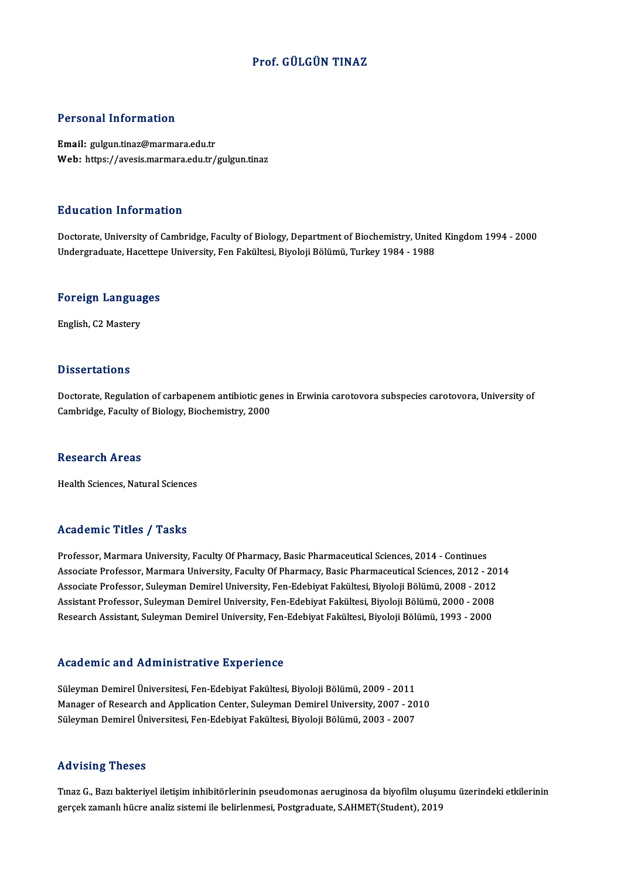## Prof. GÜLGÜN TINAZ

### Personal Information

Email: gulgun.tinaz@marmara.edu.tr Web: https://avesis.marmara.edu.tr/gulgun.tinaz

### Education Information

E<mark>ducation Information</mark><br>Doctorate, University of Cambridge, Faculty of Biology, Department of Biochemistry, United Kingdom 1994 - 2000<br>Undergraduate Hasettene University, Fen Fakültesi, Riveleji Bölümü, Turkey 1984, 1988 Luususeen IIII of Inderon<br>Doctorate, University of Cambridge, Faculty of Biology, Department of Biochemistry, Unite<br>Undergraduate, Hacettepe University, Fen Fakültesi, Biyoloji Bölümü, Turkey 1984 - 1988

## <sub>ondergraduate, nacettep</sub><br>Foreign Languages F<mark>oreign Langua</mark><br>English, C2 Mastery

English, C2 Mastery<br>Dissertations

Dissertations<br>Doctorate, Regulation of carbapenem antibiotic genes in Erwinia carotovora subspecies carotovora, University of<br>Cambridge, Faculty of Biology, Biochamistwy 2000 Disser carrons<br>Doctorate, Regulation of carbapenem antibiotic gen<br>Cambridge, Faculty of Biology, Biochemistry, 2000 Cambridge, Faculty of Biology, Biochemistry, 2000<br>Research Areas

Health Sciences, Natural Sciences

### Academic Titles / Tasks

Professor, Marmara University, Faculty Of Pharmacy, Basic Pharmaceutical Sciences, 2014 - Continues Associate Professor, Marmara University, Faculty Of Pharmacy, Basic Pharmaceutical Sciences, 2012 - 2014 Professor, Marmara University, Faculty Of Pharmacy, Basic Pharmaceutical Sciences, 2014 - Continues<br>Associate Professor, Marmara University, Faculty Of Pharmacy, Basic Pharmaceutical Sciences, 2012 - 201<br>Associate Professo Associate Professor, Marmara University, Faculty Of Pharmacy, Basic Pharmaceutical Sciences, 2012 - 20<br>Associate Professor, Suleyman Demirel University, Fen-Edebiyat Fakültesi, Biyoloji Bölümü, 2008 - 2012<br>Assistant Profes Associate Professor, Suleyman Demirel University, Fen-Edebiyat Fakültesi, Biyoloji Bölümü, 2008 - 2012<br>Assistant Professor, Suleyman Demirel University, Fen-Edebiyat Fakültesi, Biyoloji Bölümü, 2000 - 2008<br>Research Assista Research Assistant, Suleyman Demirel University, Fen-Edebiyat Fakültesi, Biyoloji Bölümü, 1993 - 2000<br>Academic and Administrative Experience

Süleyman Demirel Üniversitesi, Fen-Edebiyat Fakültesi, Biyoloji Bölümü, 2009 - 2011 Manager of Research and Application Center, Suleyman Demirel Üniversitesi, Fen-Edebiyat Fakültesi, Biyoloji Bölümü, 2009 - 2011<br>Manager of Research and Application Center, Suleyman Demirel University, 2007 - 2010<br>Süleyman Süleyman Demirel Üniversitesi, Fen-Edebiyat Fakültesi, Biyoloji Bölümü, 2009 - 2011<br>Manager of Research and Application Center, Suleyman Demirel University, 2007 - 20<br>Süleyman Demirel Üniversitesi, Fen-Edebiyat Fakültesi, Süleyman Demirel Üniversitesi, Fen-Edebiyat Fakültesi, Biyoloji Bölümü, 2003 - 2007<br>Advising Theses

Advising Theses<br>Tınaz G., Bazı bakteriyel iletişim inhibitörlerinin pseudomonas aeruginosa da biyofilm oluşumu üzerindeki etkilerinin<br>Zaraşk ramanlı bücre analiz sistemi ile belirlenmesi. Bestanadusta S.AHMET(Student), 201 rra v ising "ricses"<br>Tinaz G., Bazı bakteriyel iletişim inhibitörlerinin pseudomonas aeruginosa da biyofilm oluşu<br>gerçek zamanlı hücre analiz sistemi ile belirlenmesi, Postgraduate, S.AHMET(Student), 2019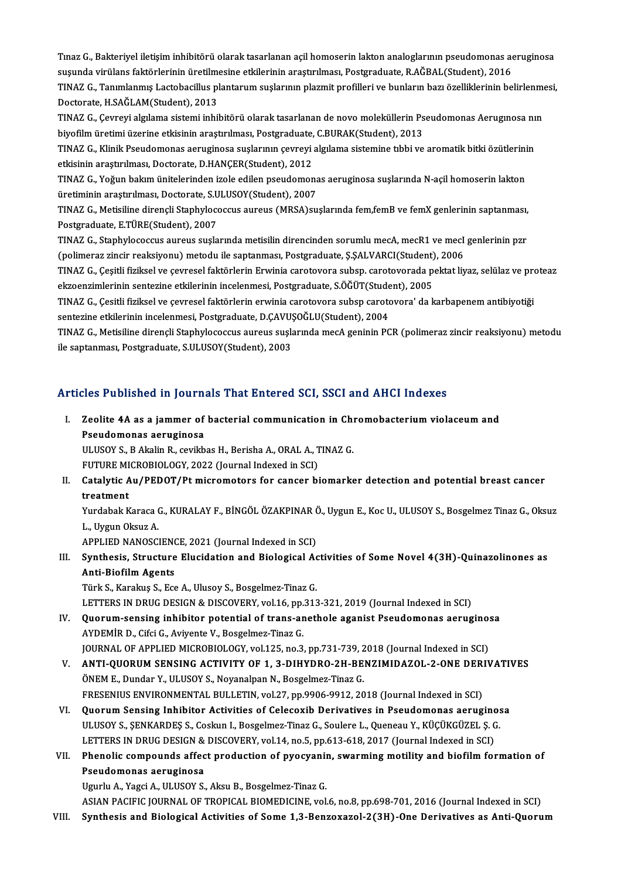Tınaz G., Bakteriyel iletişim inhibitörü olarak tasarlanan açil homoserin lakton analoglarının pseudomonas aeruginosa<br>susunda virülens faktörlerinin ünstilmesine etkilerinin anastrulması. Pestsuadusta B.AČBAI (Student), 20 Tınaz G., Bakteriyel iletişim inhibitörü olarak tasarlanan açil homoserin lakton analoglarının pseudomonas ae<br>suşunda virülans faktörlerinin üretilmesine etkilerinin araştırılması, Postgraduate, R.AĞBAL(Student), 2016<br>TINA Tınaz G., Bakteriyel iletişim inhibitörü olarak tasarlanan açil homoserin lakton analoglarının pseudomonas aeruginosa<br>suşunda virülans faktörlerinin üretilmesine etkilerinin araştırılması, Postgraduate, R.AĞBAL(Student), 2 suşunda virülans faktörlerinin üretilme<br>TINAZ G., Tanımlanmış Lactobacillus pl<br>Doctorate, H.SAĞLAM(Student), 2013<br>TINAZ G. Germevi almlama sistemi inhil TINAZ G., Tanımlanmış Lactobacillus plantarum suşlarının plazmit profilleri ve bunların bazı özelliklerinin belirlenme<br>Doctorate, H.SAĞLAM(Student), 2013<br>TINAZ G., Çevreyi algılama sistemi inhibitörü olarak tasarlanan de n

Doctorate, H.SAĞLAM(Student), 2013<br>TINAZ G., Çevreyi algılama sistemi inhibitörü olarak tasarlanan de novo moleküllerin Ps<br>biyofilm üretimi üzerine etkisinin araştırılması, Postgraduate, C.BURAK(Student), 2013<br>TINAZ G., Kl TINAZ G., Çevreyi algılama sistemi inhibitörü olarak tasarlanan de novo moleküllerin Pseudomonas Aerugınosa nı<br>biyofilm üretimi üzerine etkisinin araştırılması, Postgraduate, C.BURAK(Student), 2013<br>TINAZ G., Klinik Pseudom

biyofilm üretimi üzerine etkisinin araştırılması, Postgraduate,<br>TINAZ G., Klinik Pseudomonas aeruginosa suşlarının çevreyi<br>etkisinin araştırılması, Doctorate, D.HANÇER(Student), 2012<br>TINAZ G. Yoğun bakım ünitelerinden izel TINAZ G., Klinik Pseudomonas aeruginosa suşlarının çevreyi algılama sistemine tıbbi ve aromatik bitki özütlerini<br>etkisinin araştırılması, Doctorate, D.HANÇER(Student), 2012<br>TINAZ G., Yoğun bakım ünitelerinden izole edilen

etkisinin araştırılması, Doctorate, D.HANÇER(Student), 2012<br>TINAZ G., Yoğun bakım ünitelerinden izole edilen pseudomona<br>üretiminin araştırılması, Doctorate, S.ULUSOY(Student), 2007<br>TINAZ G. Metisiline direngli Stanbylososc TINAZ G., Yoğun bakım ünitelerinden izole edilen pseudomonas aeruginosa suşlarında N-açil homoserin lakton<br>üretiminin araştırılması, Doctorate, S.ULUSOY(Student), 2007<br>TINAZ G., Metisiline dirençli Staphylococcus aureus (M

üretiminin araştırılması, Doctorate, S.U<br>TINAZ G., Metisiline dirençli Staphyloco<br>Postgraduate, E.TÜRE(Student), 2007<br>TINAZ G. Staphylococque aurous suela TINAZ G., Metisiline dirençli Staphylococcus aureus (MRSA)suşlarında fem,femB ve femX genlerinin saptanması,<br>Postgraduate, E.TÜRE(Student), 2007<br>TINAZ G., Staphylococcus aureus suşlarında metisilin direncinden sorumlu mecA

Postgraduate, E.TÜRE(Student), 2007<br>TINAZ G., Staphylococcus aureus sușlarında metisilin direncinden sorumlu mecA, mecR1 ve mecI<br>(polimeraz zincir reaksiyonu) metodu ile saptanması, Postgraduate, Ş.ŞALVARCI(Student), 2006<br> TINAZ G., Staphylococcus aureus suşlarında metisilin direncinden sorumlu mecA, mecR1 ve mecI genlerinin pzr<br>(polimeraz zincir reaksiyonu) metodu ile saptanması, Postgraduate, Ş.ŞALVARCI(Student), 2006<br>TINAZ G., Çeşitli fiz

(polimeraz zincir reaksiyonu) metodu ile saptanması, Postgraduate, Ş.ŞALVARCI(Student)<br>TINAZ G., Çeşitli fiziksel ve çevresel faktörlerin Erwinia carotovora subsp. carotovorada p<br>ekzoenzimlerinin sentezine etkilerinin ince TINAZ G., Çeşitli fiziksel ve çevresel faktörlerin Erwinia carotovora subsp. carotovorada pektat liyaz, selülaz ve pre<br>ekzoenzimlerinin sentezine etkilerinin incelenmesi, Postgraduate, S.ÖĞÜT(Student), 2005<br>TINAZ G., Çesit

ekzoenzimlerinin sentezine etkilerinin incelenmesi, Postgraduate, S.ÖĞÜT(Student), 2005<br>TINAZ G., Çesitli fiziksel ve çevresel faktörlerin erwinia carotovora subsp carotovora' da karbapenem antibiyotiği<br>sentezine etkilerin TINAZ G., Çesitli fiziksel ve çevresel faktörlerin erwinia carotovora subsp carotovora' da karbapenem antibiyotiği<br>sentezine etkilerinin incelenmesi, Postgraduate, D.ÇAVUŞOĞLU(Student), 2004<br>TINAZ G., Metisiline dirençli S

sentezine etkilerinin incelenmesi, Postgraduate, D.ÇAVU!<br>TINAZ G., Metisiline dirençli Staphylococcus aureus suşla<br>ile saptanması, Postgraduate, S.ULUSOY(Student), 2003

# ile saptanması, Postgraduate, S.ULUSOY(Student), 2003<br>Articles Published in Journals That Entered SCI, SSCI and AHCI Indexes

rticles Published in Journals That Entered SCI, SSCI and AHCI Indexes<br>I. Zeolite 4A as a jammer of bacterial communication in Chromobacterium violaceum and<br>Resudemence convainese Pseudomonas aeruginosa<br>Pseudomonas aeruginosa<br>Pseudomonas aeruginosa Zeolite 4A as a jammer of bacterial communication in Chi<br>Pseudomonas aeruginosa<br>ULUSOY S., B Akalin R., cevikbas H., Berisha A., ORAL A., TINAZ G.<br>EUTURE MICRORIOLOCY, 2022 (Jaurral Indoved in SCD

Pseudomonas aeruginosa<br>ULUSOY S., B Akalin R., cevikbas H., Berisha A., ORAL A., TINAZ G.<br>FUTURE MICROBIOLOGY, 2022 (Journal Indexed in SCI)

ULUSOY S., B Akalin R., cevikbas H., Berisha A., ORAL A., TINAZ G.<br>FUTURE MICROBIOLOGY, 2022 (Journal Indexed in SCI)<br>II. Catalytic Au/PEDOT/Pt micromotors for cancer biomarker detection and potential breast cancer<br>treatme FUTURE MI<br>Catalytic A<br>treatment<br><sup>Vurdobel: K</sup> Catalytic Au/PEDOT/Pt micromotors for cancer biomarker detection and potential breast cancer<br>treatment<br>Yurdabak Karaca G., KURALAY F., BİNGÖL ÖZAKPINAR Ö., Uygun E., Koc U., ULUSOY S., Bosgelmez Tinaz G., Oksuz<br>L. Hygun Ol

t<mark>reatment</mark><br>Yurdabak Karaca (<br>L., Uygun Oksuz A.<br>APPLIED NANOSCI Yurdabak Karaca G., KURALAY F., BİNGÖL ÖZAKPINAR (<br>L., Uygun Oksuz A.<br>APPLIED NANOSCIENCE, 2021 (Journal Indexed in SCI)<br>Synthesis, Structure Elusidation and Biologisel Ac

L., Uygun Oksuz A.<br>APPLIED NANOSCIENCE, 2021 (Journal Indexed in SCI)<br>III. Synthesis, Structure Elucidation and Biological Activities of Some Novel 4(3H)-Quinazolinones as<br>Anti Biofilm Agonta APPLIED NANOSCIEN<br>Synthesis, Structure<br>Anti-Biofilm Agents<br>Türk S. Karalna S. Ess Synthesis, Structure Elucidation and Biological Ac<br>Anti-Biofilm Agents<br>Türk S., Karakuş S., Ece A., Ulusoy S., Bosgelmez-Tinaz G.<br>LETTERS IN DRUC DESICN & DISCOVERY vol 16 np 313 Anti-Biofilm Agents<br>Türk S., Karakuş S., Ece A., Ulusoy S., Bosgelmez-Tinaz G.<br>LETTERS IN DRUG DESIGN & DISCOVERY, vol.16, pp.313-321, 2019 (Journal Indexed in SCI)

- IV. Quorum-sensing inhibitor potential of trans-anethole aganist Pseudomonas aeruginosa AYDEMİRD.,CifciG.,AviyenteV.,Bosgelmez-TinazG. Quorum-sensing inhibitor potential of trans-anethole aganist Pseudomonas aerugino:<br>AYDEMİR D., Cifci G., Aviyente V., Bosgelmez-Tinaz G.<br>JOURNAL OF APPLIED MICROBIOLOGY, vol.125, no.3, pp.731-739, 2018 (Journal Indexed in
- AYDEMIR D., Cifci G., Aviyente V., Bosgelmez-Tinaz G.<br>JOURNAL OF APPLIED MICROBIOLOGY, vol.125, no.3, pp.731-739, 2018 (Journal Indexed in SCI)<br>V. ANTI-QUORUM SENSING ACTIVITY OF 1, 3-DIHYDRO-2H-BENZIMIDAZOL-2-ONE DERIVATI JOURNAL OF APPLIED MICROBIOLOGY, vol.125, no.3, pp.731-739, 2<br>ANTI-QUORUM SENSING ACTIVITY OF 1, 3-DIHYDRO-2H-BE.<br>ÖNEM E., Dundar Y., ULUSOY S., Noyanalpan N., Bosgelmez-Tinaz G.<br>ERESENIUS ENVIRONMENTAL PULLETIN .vol.27, p V. ANTI-QUORUM SENSING ACTIVITY OF 1, 3-DIHYDRO-2H-BENZIMIDAZOL-2-ONE DERIVATIVES<br>ÖNEM E., Dundar Y., ULUSOY S., Noyanalpan N., Bosgelmez-Tinaz G.<br>FRESENIUS ENVIRONMENTAL BULLETIN, vol.27, pp.9906-9912, 2018 (Journal Index

- VI. Quorum Sensing Inhibitor Activities of Celecoxib Derivatives in Pseudomonas aeruginosa FRESENIUS ENVIRONMENTAL BULLETIN, vol.27, pp.9906-9912, 2018 (Journal Indexed in SCI)<br>Quorum Sensing Inhibitor Activities of Celecoxib Derivatives in Pseudomonas aeruginos<br>ULUSOY S., ŞENKARDEŞ S., Coskun I., Bosgelmez-Tina Quorum Sensing Inhibitor Activities of Celecoxib Derivatives in Pseudomonas aerugino<br>ULUSOY S., ŞENKARDEŞ S., Coskun I., Bosgelmez-Tinaz G., Soulere L., Queneau Y., KÜÇÜKGÜZEL Ş. (<br>LETTERS IN DRUG DESIGN & DISCOVERY, vol.1 ULUSOY S., ŞENKARDEŞ S., Coskun I., Bosgelmez-Tinaz G., Soulere L., Queneau Y., KÜÇÜKGÜZEL Ş. G.<br>LETTERS IN DRUG DESIGN & DISCOVERY, vol.14, no.5, pp.613-618, 2017 (Journal Indexed in SCI)<br>VII. Phenolic compounds affect pr
- LETTERS IN DRUG DESIGN &<br>Phenolic compounds affec<br>Pseudomonas aeruginosa<br>Havrly A. Yaggi A. HI HSOY S Pseudomonas aeruginosa<br>Ugurlu A., Yagci A., ULUSOY S., Aksu B., Bosgelmez-Tinaz G.

ASIAN PACIFIC JOURNAL OF TROPICAL BIOMEDICINE, vol.6, no.8, pp.698-701, 2016 (Journal Indexed in SCI)

VIII. Synthesis and Biological Activities of Some 1,3-Benzoxazol-2(3H)-One Derivatives as Anti-Quorum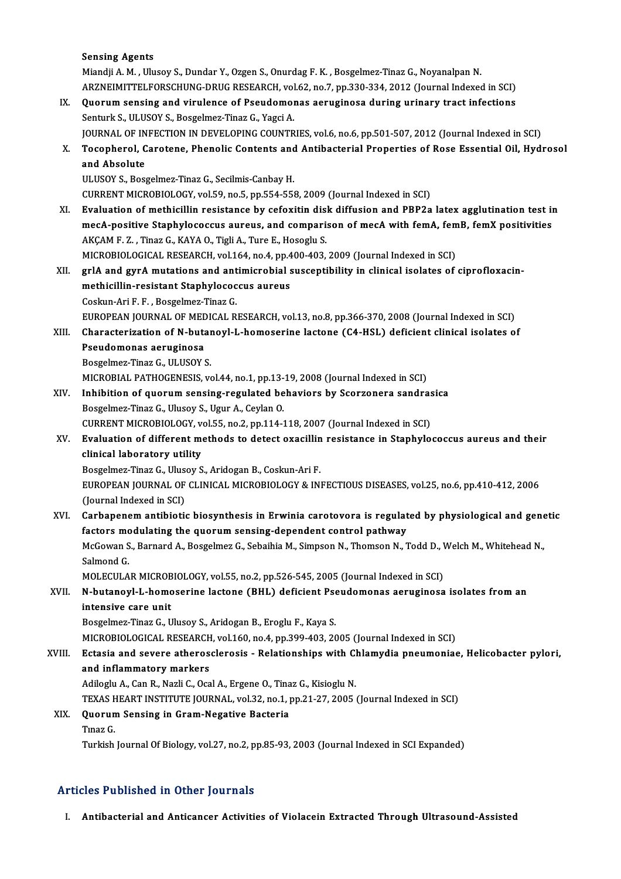### Sensing Agents

|        | <b>Sensing Agents</b>                                                                                                     |
|--------|---------------------------------------------------------------------------------------------------------------------------|
|        | Miandji A. M., Ulusoy S., Dundar Y., Ozgen S., Onurdag F. K., Bosgelmez-Tinaz G., Noyanalpan N.                           |
|        | ARZNEIMITTELFORSCHUNG-DRUG RESEARCH, vol.62, no.7, pp.330-334, 2012 (Journal Indexed in SCI)                              |
| IX.    | Quorum sensing and virulence of Pseudomonas aeruginosa during urinary tract infections                                    |
|        | Senturk S., ULUSOY S., Bosgelmez-Tinaz G., Yagci A.                                                                       |
|        | JOURNAL OF INFECTION IN DEVELOPING COUNTRIES, vol.6, no.6, pp.501-507, 2012 (Journal Indexed in SCI)                      |
| Х.     | Tocopherol, Carotene, Phenolic Contents and Antibacterial Properties of Rose Essential Oil, Hydrosol                      |
|        | and Absolute                                                                                                              |
|        | ULUSOY S., Bosgelmez-Tinaz G., Secilmis-Canbay H.                                                                         |
|        | CURRENT MICROBIOLOGY, vol.59, no.5, pp.554-558, 2009 (Journal Indexed in SCI)                                             |
| XI.    | Evaluation of methicillin resistance by cefoxitin disk diffusion and PBP2a latex agglutination test in                    |
|        | mecA-positive Staphylococcus aureus, and comparison of mecA with femA, femB, femX positivities                            |
|        | AKÇAM F. Z., Tinaz G., KAYA O., Tigli A., Ture E., Hosoglu S.                                                             |
|        | MICROBIOLOGICAL RESEARCH, vol.164, no.4, pp.400-403, 2009 (Journal Indexed in SCI)                                        |
| XII.   | grlA and gyrA mutations and antimicrobial susceptibility in clinical isolates of ciprofloxacin-                           |
|        | methicillin-resistant Staphylococcus aureus                                                                               |
|        | Coskun-Ari F. F., Bosgelmez-Tinaz G.                                                                                      |
|        | EUROPEAN JOURNAL OF MEDICAL RESEARCH, vol.13, no.8, pp.366-370, 2008 (Journal Indexed in SCI)                             |
| XIII.  | Characterization of N-butanoyl-L-homoserine lactone (C4-HSL) deficient clinical isolates of                               |
|        | Pseudomonas aeruginosa                                                                                                    |
|        | Bosgelmez-Tinaz G., ULUSOY S.                                                                                             |
|        | MICROBIAL PATHOGENESIS, vol.44, no.1, pp.13-19, 2008 (Journal Indexed in SCI)                                             |
| XIV.   | Inhibition of quorum sensing-regulated behaviors by Scorzonera sandrasica                                                 |
|        | Bosgelmez-Tinaz G., Ulusoy S., Ugur A., Ceylan O.                                                                         |
|        | CURRENT MICROBIOLOGY, vol.55, no.2, pp.114-118, 2007 (Journal Indexed in SCI)                                             |
| XV.    | Evaluation of different methods to detect oxacillin resistance in Staphylococcus aureus and their                         |
|        | clinical laboratory utility                                                                                               |
|        | Bosgelmez-Tinaz G., Ulusoy S., Aridogan B., Coskun-Ari F.                                                                 |
|        | EUROPEAN JOURNAL OF CLINICAL MICROBIOLOGY & INFECTIOUS DISEASES, vol.25, no.6, pp.410-412, 2006                           |
|        | (Journal Indexed in SCI)                                                                                                  |
| XVI.   | Carbapenem antibiotic biosynthesis in Erwinia carotovora is regulated by physiological and genetic                        |
|        | factors modulating the quorum sensing-dependent control pathway                                                           |
|        | McGowan S., Barnard A., Bosgelmez G., Sebaihia M., Simpson N., Thomson N., Todd D., Welch M., Whitehead N.,<br>Salmond G. |
|        | MOLECULAR MICROBIOLOGY, vol.55, no.2, pp.526-545, 2005 (Journal Indexed in SCI)                                           |
|        | N-butanoyl-L-homoserine lactone (BHL) deficient Pseudomonas aeruginosa isolates from an                                   |
| XVII.  | intensive care unit                                                                                                       |
|        | Bosgelmez-Tinaz G., Ulusoy S., Aridogan B., Eroglu F., Kaya S.                                                            |
|        | MICROBIOLOGICAL RESEARCH, vol.160, no.4, pp.399-403, 2005 (Journal Indexed in SCI)                                        |
| XVIII. | Ectasia and severe atherosclerosis - Relationships with Chlamydia pneumoniae, Helicobacter pylori,                        |
|        | and inflammatory markers                                                                                                  |
|        | Adiloglu A., Can R., Nazli C., Ocal A., Ergene O., Tinaz G., Kisioglu N.                                                  |
|        | TEXAS HEART INSTITUTE JOURNAL, vol.32, no.1, pp.21-27, 2005 (Journal Indexed in SCI)                                      |
| XIX.   | Quorum Sensing in Gram-Negative Bacteria                                                                                  |
|        | Tinaz G                                                                                                                   |
|        | Turkish Journal Of Biology, vol.27, no.2, pp.85-93, 2003 (Journal Indexed in SCI Expanded)                                |
|        |                                                                                                                           |

## Articles Published in Other Journals

I. Antibacterial and Anticancer Activities of Violacein Extracted Through Ultrasound-Assisted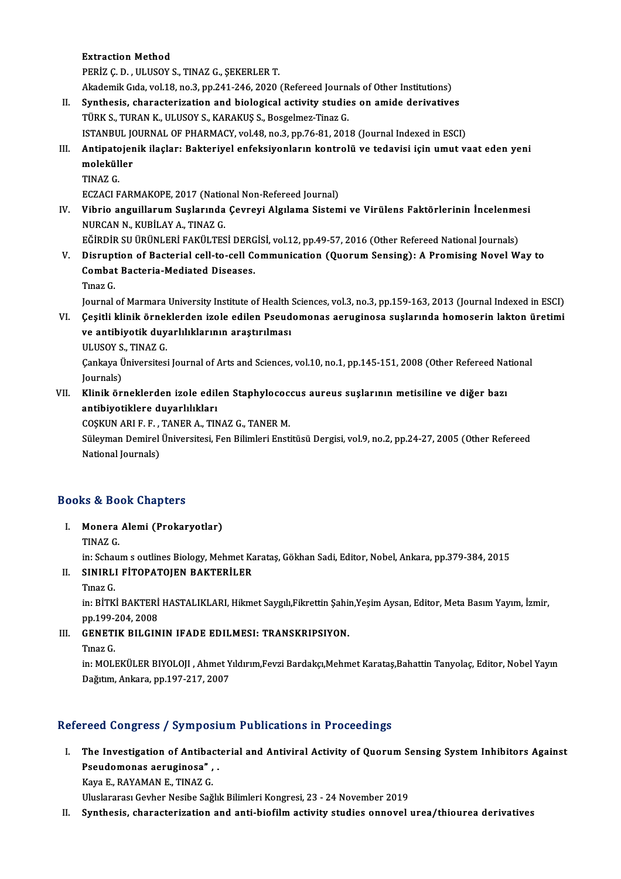**Extraction Method** 

PERİZ Ç.D., ULUSOY S., TINAZ G., ŞEKERLER T.

Akademik Gıda, vol.18, no.3, pp.241-246, 2020 (Refereed Journals of Other Institutions)

- II. Synthesis, characterization and biological activity studies on amide derivatives TÜRK S., TURAN K., ULUSOY S., KARAKUŞ S., Bosgelmez-Tinaz G. ISTANBUL JOURNALOF PHARMACY,vol.48,no.3,pp.76-81,2018 (Journal Indexed inESCI) TÜRK S., TURAN K., ULUSOY S., KARAKUŞ S., Bosgelmez-Tinaz G.<br>ISTANBUL JOURNAL OF PHARMACY, vol.48, no.3, pp.76-81, 2018 (Journal Indexed in ESCI)<br>III. Antipatojenik ilaçlar: Bakteriyel enfeksiyonların kontrolü ve tedav
- ISTANBUL J<mark>(</mark><br>Antipatojer<br>moleküller<br><sup>TINA7</sup> C Antipato<br>moleküll<br>TINAZ G.<br>ECZACLE moleküller<br>TINAZ G.<br>ECZACI FARMAKOPE, 2017 (National Non-Refereed Journal)<br>Vibrio anguillarum Suslarunda Couroyi Algulama Sistem
	-

TINAZ G.<br>ECZACI FARMAKOPE, 2017 (National Non-Refereed Journal)<br>IV. Vibrio anguillarum Suşlarında Çevreyi Algılama Sistemi ve Virülens Faktörlerinin İncelenmesi<br>NURCAN N. KURİLAY A. TINAZ G. ECZACI FARMAKOPE, 2017 (Natio<br>Vibrio anguillarum Suşlarında<br>NURCAN N., KUBİLAY A., TINAZ G.<br>FĞİRDİR SU ÜRÜNI ERİ FAKÜLTES Vibrio anguillarum Suşlarında Çevreyi Algılama Sistemi ve Virülens Faktörlerinin İncelenme<br>NURCAN N., KUBİLAY A., TINAZ G.<br>EĞİRDİR SU ÜRÜNLERİ FAKÜLTESİ DERGİSİ, vol.12, pp.49-57, 2016 (Other Refereed National Journals)<br>Di

NURCAN N., KUBİLAY A., TINAZ G.<br>EĞİRDİR SU ÜRÜNLERİ FAKÜLTESİ DERGİSİ, vol.12, pp.49-57, 2016 (Other Refereed National Journals)<br>V. Disruption of Bacterial cell-to-cell Communication (Quorum Sensing): A Promising Novel EĞİRDİR SU ÜRÜNLERİ FAKÜLTESİ DERG<br>Disruption of Bacterial cell-to-cell Co<br>Combat Bacteria-Mediated Diseases.<br>Tines C Di<mark>srupt</mark><br>Combat<br>Tınaz G.<br>Journal Combat Bacteria-Mediated Diseases.<br>Tinaz G.<br>Journal of Marmara University Institute of Health Sciences, vol.3, no.3, pp.159-163, 2013 (Journal Indexed in ESCI)

VI. Çeşitli klinik örneklerden izole edilen Pseudomonas aeruginosa suşlarında homoserin lakton üretimi Journal of Marmara University Institute of Health<br>Çeşitli klinik örneklerden izole edilen Pseud<br>ve antibiyotik duyarlılıklarının araştırılması<br>III USOV S. TINAZ C Çeşitli klinik örnel<br>ve antibiyotik duy<br>ULUSOY S., TINAZ G.<br>Canlava Üniversites ULUSOY S., TINAZ G.

Çankaya Üniversitesi Journal of Arts and Sciences, vol.10, no.1, pp.145-151, 2008 (Other Refereed National Journals) Cankaya Üniversitesi Journal of Arts and Sciences, vol.10, no.1, pp.145-151, 2008 (Other Refereed Na<br>Journals)<br>VII. Klinik örneklerden izole edilen Staphylococcus aureus suşlarının metisiline ve diğer bazı<br>antibiyetiklere

Journals)<br>Klinik örneklerden izole edil<br>antibiyotiklere duyarlılıkları<br>COSKUN APLE E. TANER A. TIA Klinik örneklerden izole edilen Staphylococ<br>antibiyotiklere duyarlılıkları<br>COŞKUN ARI F. F. , TANER A., TINAZ G., TANER M.<br>Süleyman Demirel Üniversitesi, Fen Bilimleri Ensti

COSKUN ARI F. F., TANER A., TINAZ G., TANER M.

antibiyotiklere duyarlılıkları<br>COŞKUN ARI F. F. , TANER A., TINAZ G., TANER M.<br>Süleyman Demirel Üniversitesi, Fen Bilimleri Enstitüsü Dergisi, vol.9, no.2, pp.24-27, 2005 (Other Refereed<br>National Journals)

## Books&Book Chapters

ooks & Book Chapters<br>I. Monera Alemi (Prokaryotlar)<br>TIMAZ C Monera<br>Monera<br>TINAZ G.

Monera Alemi (Prokaryotlar)<br>TINAZ G.<br>in: Schaum s outlines Biology, Mehmet Karataş, Gökhan Sadi, Editor, Nobel, Ankara, pp.379-384, 2015<br>SINIRLLEİTORATOJEN BAKTERİLER

## TINAZ G.<br>in: Schaum s outlines Biology, Mehmet Ka<br>II. SINIRLI FİTOPATOJEN BAKTERİLER<br>Turaz C in: Scha<mark>l</mark><br>SINIRL<br>Tınaz G.<br>in: P<sup>irry</sup>

SINIRLI FİTOPATOJEN BAKTERİLER<br>Tınaz G.<br>in: BİTKİ BAKTERİ HASTALIKLARI, Hikmet Saygılı,Fikrettin Şahin,Yeşim Aysan, Editor, Meta Basım Yayım, İzmir,<br>nn 199,204, 2008 Tmaz G.<br>in: BİTKİ BAKTERİ<br>pp.199-204, 2008<br>CENETIK BILCIN in: BİTKİ BAKTERİ HASTALIKLARI, Hikmet Saygılı,Fikrettin Şahir<br>pp.199-204, 2008<br>III. GENETIK BILGININ IFADE EDILMESI: TRANSKRIPSIYON.<br>Tinaz C pp 199-2<br>GENETI<br>Tinaz G.<br>in: MOU

GENETIK BILGININ IFADE EDILMESI: TRANSKRIPSIYON.<br>Tınaz G.<br>in: MOLEKÜLER BIYOLOJI , Ahmet Yıldırım,Fevzi Bardakçı,Mehmet Karataş,Bahattin Tanyolaç, Editor, Nobel Yayın<br>Dağıtım, Ankara, np.197,217,2007 Tınaz G.<br>in: MOLEKÜLER BIYOLOJI , Ahmet Y<br>Dağıtım, Ankara, pp.197-217, 2007

# Dağıtım, Ankara, pp.197-217, 2007<br>Refereed Congress / Symposium Publications in Proceedings

efereed Congress / Symposium Publications in Proceedings<br>I. The Investigation of Antibacterial and Antiviral Activity of Quorum Sensing System Inhibitors Against<br>Resudemence coursiness" Press dongt cool y of mpoor<br>The Investigation of Antibact<br>Pseudomonas aeruginosa" , .<br>Vave E. BAYAMAN E. TINAZ C. The Investigation of Antiba<br>Pseudomonas aeruginosa" ,<br>Kaya E., RAYAMAN E., TINAZ G.<br>Uluelararas: Caybar Nasiba Saž Pseudomonas aeruginosa", .<br>Kaya E., RAYAMAN E., TINAZ G.<br>Uluslararası Gevher Nesibe Sağlık Bilimleri Kongresi, 23 - 24 November 2019

II. Synthesis, characterization and anti-biofilm activity studies onnovel urea/thiourea derivatives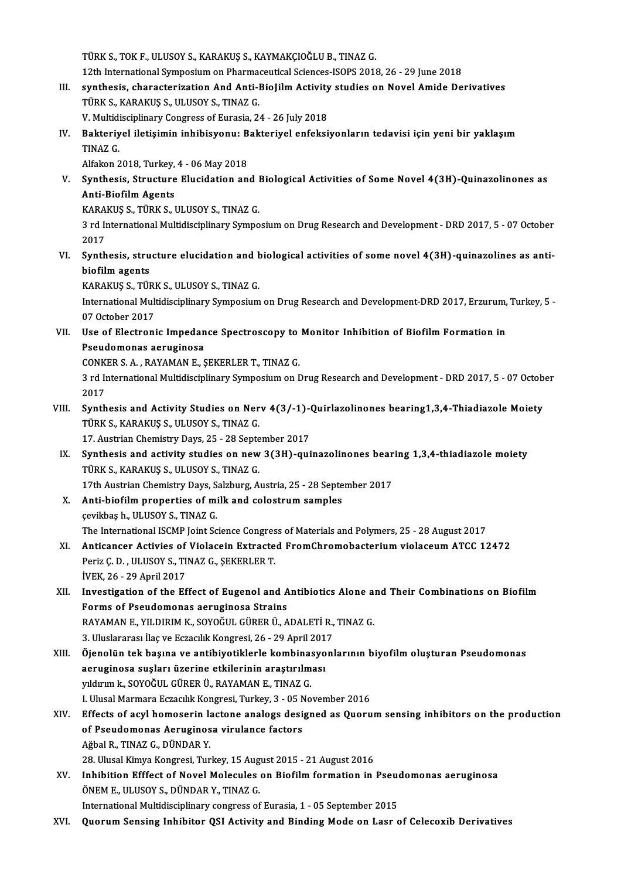TÜRKS.,TOKF.,ULUSOYS.,KARAKUŞ S.,KAYMAKÇIOĞLUB.,TINAZG.

TÜRK S., TOK F., ULUSOY S., KARAKUŞ S., KAYMAKÇIOĞLU B., TINAZ G.<br>12th International Symposium on Pharmaceutical Sciences-ISOPS 2018, 26 - 29 June 2018<br>synthosis, sharastorization And Anti-BioJilm Astivity studies an Novel

- TÜRK S., TOK F., ULUSOY S., KARAKUŞ S., KAYMAKÇIOĞLU B., TINAZ G.<br>12th International Symposium on Pharmaceutical Sciences-ISOPS 2018, 26 29 June 2018<br>III. synthesis, characterization And Anti-BioJilm Activity studies on 12th International Symposium on Pharma<br>synthesis, characterization And Anti-I<br>TÜRK S., KARAKUŞ S., ULUSOY S., TINAZ G. synthesis, characterization And Anti-BioJilm Activity<br>TÜRK S., KARAKUŞ S., ULUSOY S., TINAZ G.<br>V. Multidisciplinary Congress of Eurasia, 24 - 26 July 2018<br>Pakteriyal iletisimin inhibisyonu. Bakteriyal onfaksi TÜRK S., KARAKUŞ S., ULUSOY S., TINAZ G.<br>V. Multidisciplinary Congress of Eurasia, 24 - 26 July 2018<br>IV. Bakteriyel iletişimin inhibisyonu: Bakteriyel enfeksiyonların tedavisi için yeni bir yaklaşım<br>TINAZ C
- V. Multidisciplinary Congress of Eurasia, 24 26 July 2018<br>Bakteriyel iletişimin inhibisyonu: Bakteriyel enfeksi<br>TINAZ G.<br>Alfakon 2018, Turkey, 4 06 May 2018 Bakteriyel iletişimin inhibisyonu: B<br>TINAZ G.<br>Alfakon 2018, Turkey, 4 - 06 May 2018<br>Synthesis, Strugture Elugidation an

TINAZ G.<br>Alfakon 2018, Turkey, 4 - 06 May 2018<br>V. Synthesis, Structure Elucidation and Biological Activities of Some Novel 4(3H)-Quinazolinones as<br>Anti Biofilm Agents Alfakon 2018, Turkey,<br>Synthesis, Structure<br>Anti-Biofilm Agents<br>KARAKUS S. TÜDK S. I Synthesis, Structure Elucidation and l<br>Anti-Biofilm Agents<br>KARAKUŞ S., TÜRK S., ULUSOY S., TINAZ G.<br>2 rd International Multidissiplinery Symne

KARAKUŞ S., TÜRK S., ULUSOY S., TINAZ G.

4 Anti-Biofilm Agents<br>193 rd International Multidisciplinary Symposium on Drug Research and Development - DRD 2017, 5 - 07 October<br>2017<br>2017 3 rd International Multidisciplinary Symposium on Drug Research and Development - DRD 2017, 5 - 07 October<br>2017<br>VI. Synthesis, structure elucidation and biological activities of some novel 4(3H)-quinazolines as anti-<br>biofi

2017<br>Synthesis, stru<br>biofilm agents<br>KARAKUS S. Tür Synthesis, structure elucidation and h<br>biofilm agents<br>KARAKUŞ S., TÜRK S., ULUSOY S., TINAZ G.<br>International Multidissiplinery Symposium

KARAKUŞ S., TÜRK S., ULUSOY S., TINAZ G.

biofilm agents<br>KARAKUŞ S., TÜRK S., ULUSOY S., TINAZ G.<br>International Multidisciplinary Symposium on Drug Research and Development-DRD 2017, Erzurum, Turkey, 5 -<br>07 October 2017 International Multidisciplinary Symposium on Drug Research and Development-DRD 2017, Erzurum,<br>07 October 2017<br>VII. Use of Electronic Impedance Spectroscopy to Monitor Inhibition of Biofilm Formation in<br>Resudemance acquaine

07 October 2017<br>Use of Electronic Impedan<br>Pseudomonas aeruginosa<br>CONKER S.A., BAVAMAN E.S Use of Electronic Impedance Spectroscopy to<br>Pseudomonas aeruginosa<br>CONKER S. A. , RAYAMAN E., ŞEKERLER T., TINAZ G.<br>2 rd International Multidisciplinary Sympesium on I

CONKER S. A., RAYAMAN E., SEKERLER T., TINAZ G.

Pseudomonas aeruginosa<br>CONKER S. A. , RAYAMAN E., ŞEKERLER T., TINAZ G.<br>3 rd International Multidisciplinary Symposium on Drug Research and Development - DRD 2017, 5 - 07 October<br>2017 3 rd International Multidisciplinary Symposium on Drug Research and Development - DRD 2017, 5 - 07 Octob<br>2017<br>VIII. Synthesis and Activity Studies on Nerv 4(3/-1)-Quirlazolinones bearing1,3,4-Thiadiazole Moiety<br>Tipy S. KAR

2017<br>Synthesis and Activity Studies on Ner<br>TÜRK S., KARAKUŞ S., ULUSOY S., TINAZ G.<br>17. Austrian Chamistry Davs, 25 , 28 Sents Synthesis and Activity Studies on Nerv 4(3/-1)-<br>TÜRK S., KARAKUŞ S., ULUSOY S., TINAZ G.<br>17. Austrian Chemistry Days, 25 - 28 September 2017<br>Synthesis and astivity studies on now 3(3H), aut

- TÜRK S., KARAKUŞ S., ULUSOY S., TINAZ G.<br>17. Austrian Chemistry Days, 25 28 September 2017<br>IX. Synthesis and activity studies on new 3(3H)-quinazolinones bearing 1,3,4-thiadiazole moiety<br>TÜRK S. KARAKUS S. HUISOV S. TINA 17. Austrian Chemistry Days, 25 - 28 Septe<br>Synthesis and activity studies on new<br>TÜRK S., KARAKUŞ S., ULUSOY S., TINAZ G.<br>17th Austrian Chamistry Days, Salzburg, A. Synthesis and activity studies on new 3(3H)-quinazolinones bear<br>TÜRK S., KARAKUŞ S., ULUSOY S., TINAZ G.<br>17th Austrian Chemistry Days, Salzburg, Austria, 25 - 28 September 2017<br>Anti-biofilm proporties of milk and selectrum TÜRK S., KARAKUŞ S., ULUSOY S., TINAZ G.<br>17th Austrian Chemistry Days, Salzburg, Austria, 25 - 28 Septe<br>X. Anti-biofilm properties of milk and colostrum samples<br>sexultbes b. HI HSOV S. TINAZ C.
- 17th Austrian Chemistry Days, S.<br>**Anti-biofilm properties of mi**<br>çevikbaş h., ULUSOY S., TINAZ G.<br>The International ISCMB Joint Se Anti-biofilm properties of milk and colostrum samples<br>cevikbas h., ULUSOY S., TINAZ G.<br>The International ISCMP Joint Science Congress of Materials and Polymers, 25 - 28 August 2017<br>Antisanson Astivice of Violosoin Extraste çevikbaş h., ULUSOY S., TINAZ G.<br>The International ISCMP Joint Science Congress of Materials and Polymers, 25 - 28 August 2017<br>XI. Anticancer Activies of Violacein Extracted FromChromobacterium violaceum ATCC 12472
- The International ISCMP Joint Science Congres<br>Anticancer Activies of Violacein Extracte<br>Periz Ç. D. , ULUSOY S., TINAZ G., ŞEKERLER T.<br>WEK 26 20 April 2017 Periz Ç. D. , ULUSOY S., TINAZ G., ŞEKERLER T.<br>İVEK, 26 - 29 April 2017
- Periz Ç. D. , ULUSOY S., TINAZ G., ŞEKERLER T.<br>İVEK, 26 29 April 2017<br>XII. Investigation of the Effect of Eugenol and Antibiotics Alone and Their Combinations on Biofilm<br>Forms of Peaudomanes assustinges Strains IVEK, 26 - 29 April 2017<br>Investigation of the Effect of Eugenol and A<br>Forms of Pseudomonas aeruginosa Strains<br>PAVAMAN E. VILDIPIM K. SOVOČIJI, CÜPEP Ü. A Investigation of the Effect of Eugenol and Antibiotics Alone a:<br>Forms of Pseudomonas aeruginosa Strains<br>RAYAMAN E., YILDIRIM K., SOYOĞUL GÜRER Ü., ADALETİ R., TINAZ G.<br>2. Uluslararası İlas*ve Estas*ıllık Konstasi, 26., 29. Forms of Pseudomonas aeruginosa Strains<br>RAYAMAN E., YILDIRIM K., SOYOĞUL GÜRER Ü., ADALETİ R.,<br>3. Uluslararası İlaç ve Eczacılık Kongresi, 26 - 29 April 2017<br>Öjenelün tek basına ve antibiyetiklerle kombinasyonl
- 3. Uluslararası İlaç ve Eczacılık Kongresi, 26 29 April 2017<br>XIII. Öjenolün tek başına ve antibiyotiklerle kombinasyonlarının biyofilm oluşturan Pseudomonas 3. Uluslararası İlaç ve Eczacılık Kongresi, 26 - 29 April 201<br>Öjenolün tek başına ve antibiyotiklerle kombinasyo<br>aeruginosa suşları üzerine etkilerinin araştırılması<br>yıldırım k. SOVOČII, GÜPER Ü. BAYAMAN E. TINAZ C Öjenolün tek başına ve antibiyotiklerle kombina:<br>aeruginosa suşları üzerine etkilerinin araştırılm<br>yıldırım k., SOYOĞUL GÜRER Ü., RAYAMAN E., TINAZ G.<br>U Ulusel Mermere Eszesulk Konsresi Turkey, 2, .05 No aeruginosa suşları üzerine etkilerinin araştırılması<br>yıldırım k., SOYOĞUL GÜRER Ü., RAYAMAN E., TINAZ G.<br>I. Ulusal Marmara Eczacılık Kongresi, Turkey, 3 - 05 November 2016<br>Effecte of esul bomoserin lastane analoge designed yıldırım k., SOYOĞUL GÜRER Ü., RAYAMAN E., TINAZ G.<br>I. Ulusal Marmara Eczacılık Kongresi, Turkey, 3 - 05 November 2016<br>XIV. Effects of acyl homoserin lactone analogs designed as Quorum sensing inhibitors on the product
- I. Ulusal Marmara Eczacılık Kongresi, Turkey, 3 05 N<br>Effects of acyl homoserin lactone analogs desi<br>of Pseudomonas Aeruginosa virulance factors<br>Ağbal B. TINAZ C. DÜNDAR V Effects of acyl homoserin la<br>of Pseudomonas Aeruginos<br>Ağbal R., TINAZ G., DÜNDAR Y.<br>28 Ulucel Kimua Kongresi Tun of Pseudomonas Aeruginosa virulance factors<br>Ağbal R., TINAZ G., DÜNDAR Y.<br>28. Ulusal Kimya Kongresi, Turkey, 15 August 2015 - 21 August 2016
- Ağbal R., TINAZ G., DÜNDAR Y.<br>28. Ulusal Kimya Kongresi, Turkey, 15 August 2015 21 August 2016<br>XV. Inhibition Efffect of Novel Molecules on Biofilm formation in Pseudomonas aeruginosa<br>ÖNEM E. ULUSOV S. DÜNDAR V. TINA 28. Ulusal Kimya Kongresi, Turkey, 15 Aug<br>Inhibition Efffect of Novel Molecules<br>ÖNEM E., ULUSOY S., DÜNDAR Y., TINAZ G.<br>International Multidissiplinery sengress of Inhibition Efffect of Novel Molecules on Biofilm formation in Pseud<br>ÖNEM E., ULUSOY S., DÜNDAR Y., TINAZ G.<br>International Multidisciplinary congress of Eurasia, 1 - 05 September 2015<br>Querum Sansing Inhibitan OSL Astivity a ÖNEM E., ULUSOY S., DÜNDAR Y., TINAZ G.<br>International Multidisciplinary congress of Eurasia, 1 - 05 September 2015<br>XVI. Quorum Sensing Inhibitor QSI Activity and Binding Mode on Lasr of Celecoxib Derivatives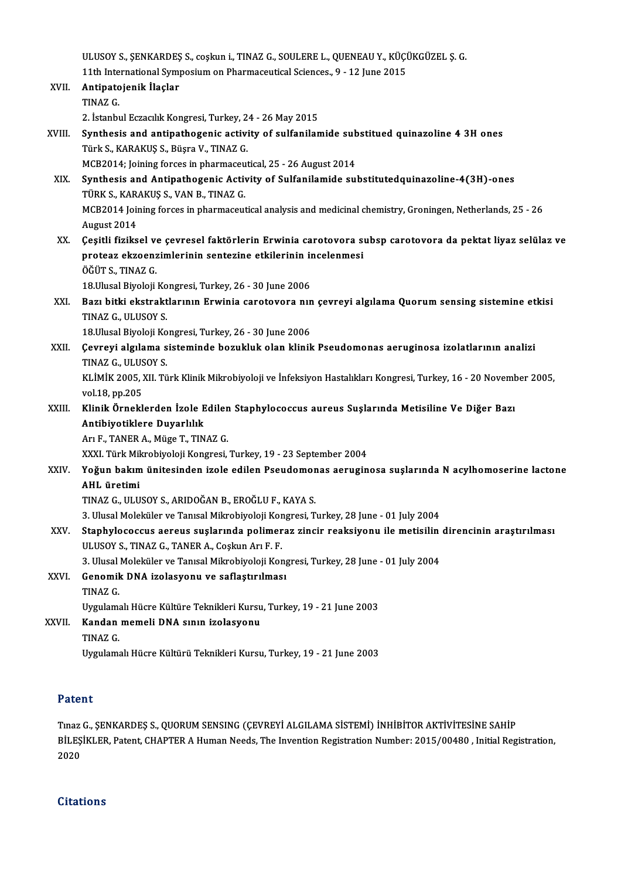ULUSOY S., ŞENKARDEŞ S., coşkun i., TINAZ G., SOULERE L., QUENEAU Y., KÜÇÜKGÜZEL Ş. G.<br>11th International Symposium en Pharmaseutisal Sciences - 9 - 12 June 2015 ULUSOY S., ŞENKARDEŞ S., coşkun i., TINAZ G., SOULERE L., QUENEAU Y., KÜÇİ<br>11th International Symposium on Pharmaceutical Sciences., 9 - 12 June 2015<br>Antinatajanik İlaslar ULUSOY S., ŞENKARDEŞ<br>11th International Sym<br>XVII. Antipatojenik İlaçlar<br>TNAZ C 11th Inte<br>**Antipato**<br>TINAZ G. 2. İstanbulEczacılıkKongresi,Turkey,24 -26May2015 TINAZ G.<br>2. İstanbul Eczacılık Kongresi, Turkey, 24 - 26 May 2015<br>XVIII. Synthesis and antipathogenic activity of sulfanilamide substitued quinazoline 4 3H ones<br>Türk S. KARAKUS S. Rüsre V. TINAZ C. Türk S., KARAKUŞ S., Büşra V., TINAZ G.<br>MCB2014; Joining forces in pharmaceutical, 25 - 26 August 2014 Synthesis and antipathogenic activity of sulfanilamide sub<br>Türk S., KARAKUŞ S., Büşra V., TINAZ G.<br>MCB2014; Joining forces in pharmaceutical, 25 - 26 August 2014<br>Synthesis and Antipathogenis Astivity of Sulfanilamide sul XIX. Synthesis and Antipathogenic Activity of Sulfanilamide substitutedquinazoline-4(3H)-ones MCB2014; Joining forces in pharmaceu<br>Synthesis and Antipathogenic Active<br>TÜRK S., KARAKUŞ S., VAN B., TINAZ G.<br>MCP2014 Joining forces in pharmaceut MCB2014 Joining forces in pharmaceutical analysis and medicinal chemistry, Groningen, Netherlands, 25 - 26<br>August 2014 TÜRK S., KAR<br>MCB2014 Joir<br>August 2014<br>Cositli fizika XX. Çeşitli fiziksel ve çevresel faktörlerin Erwinia carotovora subsp carotovora da pektat liyaz selülaz ve August 2014<br>Çeşitli fiziksel ve çevresel faktörlerin Erwinia carotovora sı<br>proteaz ekzoenzimlerinin sentezine etkilerinin incelenmesi<br>ÖĞÜTS TINAZS Çeşitli fiziksel ve<br>proteaz ekzoenz<br>ÖĞÜT S., TINAZ G.<br>18 Ulusel Biveleji proteaz ekzoenzimlerinin sentezine etkilerinin in<br>ÖĞÜT S., TINAZ G.<br>18.Ulusal Biyoloji Kongresi, Turkey, 26 - 30 June 2006<br>Bogy bitki ekstrektlerinin Enwinia senetavara nin ÖĞÜT S., TINAZ G.<br>18.Ulusal Biyoloji Kongresi, Turkey, 26 - 30 June 2006<br>XXI. Bazı bitki ekstraktlarının Erwinia carotovora nın çevreyi algılama Quorum sensing sistemine etkisi<br>TINAZ G. ULUSOV S 18.Ulusal Biyoloji Kongresi, Turkey, 26 - 30 June 2006<br>Bazı bitki ekstraktlarının Erwinia carotovora nıı<br>TINAZ G., ULUSOY S. 19. Bazı bitki ekstraktlarının Erwinia carotovora nın<br>TINAZ G., ULUSOY S.<br>18.Ulusal Biyoloji Kongresi, Turkey, 26 - 30 June 2006<br>Gevrevi alsılama sisteminde besukluk alan klipil TINAZ G., ULUSOY S.<br>18.Ulusal Biyoloji Kongresi, Turkey, 26 - 30 June 2006<br>XXII. Çevreyi algılama sisteminde bozukluk olan klinik Pseudomonas aeruginosa izolatlarının analizi<br>TINAZ G. HI USOV S 18.Ulusal Biyoloji Kongresi, Turkey, 26 - 30 June 2006<br>Çevreyi algılama sisteminde bozukluk olan klini<br>TINAZ G., ULUSOY S. Çevreyi algılama sisteminde bozukluk olan klinik Pseudomonas aeruginosa izolatlarının analizi<br>TINAZ G., ULUSOY S.<br>KLİMİK 2005, XII. Türk Klinik Mikrobiyoloji ve İnfeksiyon Hastalıkları Kongresi, Turkey, 16 - 20 November 20 KLİMİK 2005, XII. Türk Klinik Mikrobiyoloji ve İnfeksiyon Hastalıkları Kongresi, Turkey, 16 - 20 November 2005,<br>vol.18, pp.205 KLİMİK 2005, XII. Türk Klinik Mikrobiyoloji ve İnfeksiyon Hastalıkları Kongresi, Turkey, 16 - 20 Noveml<br>vol.18, pp.205<br>XXIII. Klinik Örneklerden İzole Edilen Staphylococcus aureus Suşlarında Metisiline Ve Diğer Bazı vol.18, pp.205<br>Klinik Örneklerden İzole E<br>Antibiyotiklere Duyarlılık<br>An E. TANER A. Müse T. TIN Klinik Örneklerden İzole Edilen<br>Antibiyotiklere Duyarlılık<br>Arı F., TANER A., Müge T., TINAZ G.<br>YYYL Türk Milmebiyeleji Kengresi <mark>Antibiyotiklere Duyarlılık</mark><br>Arı F., TANER A., Müge T., TINAZ G.<br>XXXI. Türk Mikrobiyoloji Kongresi, Turkey, 19 - 23 September 2004<br>Yoğun bakım ünitesinden izale edilen Beaudemenes eerusin Arı F., TANER A., Müge T., TINAZ G.<br>XXXI. Türk Mikrobiyoloji Kongresi, Turkey, 19 - 23 September 2004<br>XXIV. Yoğun bakım ünitesinden izole edilen Pseudomonas aeruginosa suşlarında N acylhomoserine lactone<br>AHL üretimi XXXI Türk Mi<mark>l</mark><br>Yoğun bakım<br>AHL üretimi<br>TINAZ C ULU TINAZG.,ULUSOYS.,ARIDOĞANB.,EROĞLUF.,KAYAS. 3.UlusalMoleküler veTanısalMikrobiyolojiKongresi,Turkey,28 June -01 July2004 TINAZ G., ULUSOY S., ARIDOĞAN B., EROĞLU F., KAYA S.<br>3. Ulusal Moleküler ve Tanısal Mikrobiyoloji Kongresi, Turkey, 28 June - 01 July 2004<br>XXV. Staphylococcus aereus suşlarında polimeraz zincir reaksiyonu ile metisilin 3. Ulusal Moleküler ve Tanısal Mikrobiyoloji Kor<br>Staphylococcus aereus suşlarında polimer<br>ULUSOY S., TINAZ G., TANER A., Coşkun Arı F. F.<br>2. Ulusel Moleküler ve Tanısal Milmebiyoloji Kor Staphylococcus aereus suşlarında polimeraz zincir reaksiyonu ile metisilin<br>ULUSOY S., TINAZ G., TANER A., Coşkun Arı F. F.<br>3. Ulusal Moleküler ve Tanısal Mikrobiyoloji Kongresi, Turkey, 28 June - 01 July 2004<br>Conomik DNA i ULUSOY S., TINAZ G., TANER A., Coşkun Arı F. F.<br>3. Ulusal Moleküler ve Tanısal Mikrobiyoloji Kong<br>XXVI. Genomik DNA izolasyonu ve saflaştırılması<br>TINAZ C 3. Ulusal<br>Genomik<br>TINAZ G.<br>Uvrulare TINAZ G.<br>Uygulamalı Hücre Kültüre Teknikleri Kursu, Turkey, 19 - 21 June 2003 TINAZ G.<br>Uygulamalı Hücre Kültüre Teknikleri Kursu<br>XXVII. Kandan memeli DNA sının izolasyonu<br>TINAZ C Uygulama<br><mark>Kandan</mark><br>TINAZ G. TINAZ G.<br>Uygulamalı Hücre Kültürü Teknikleri Kursu, Turkey, 19 - 21 June 2003

### Patent

Patent<br>Tınaz G., ŞENKARDEŞ S., QUORUM SENSING (ÇEVREYİ ALGILAMA SİSTEMİ) İNHİBİTOR AKTİVİTESİNE SAHİP<br>Pil ESİKLER, Ratant CHARTER A Humar Nagda The İnvantion Registration Number: 2015 (00480, Jujial Begi r aterre<br>Tinaz G., ŞENKARDEŞ S., QUORUM SENSING (ÇEVREYİ ALGILAMA SİSTEMİ) İNHİBİTOR AKTİVİTESİNE SAHİP<br>BİLEŞİKLER, Patent, CHAPTER A Human Needs, The Invention Registration Number: 2015/00480 , Initial Registration, Tınaz<br>BİLEŞ<br>2020

## 2020<br>Citations